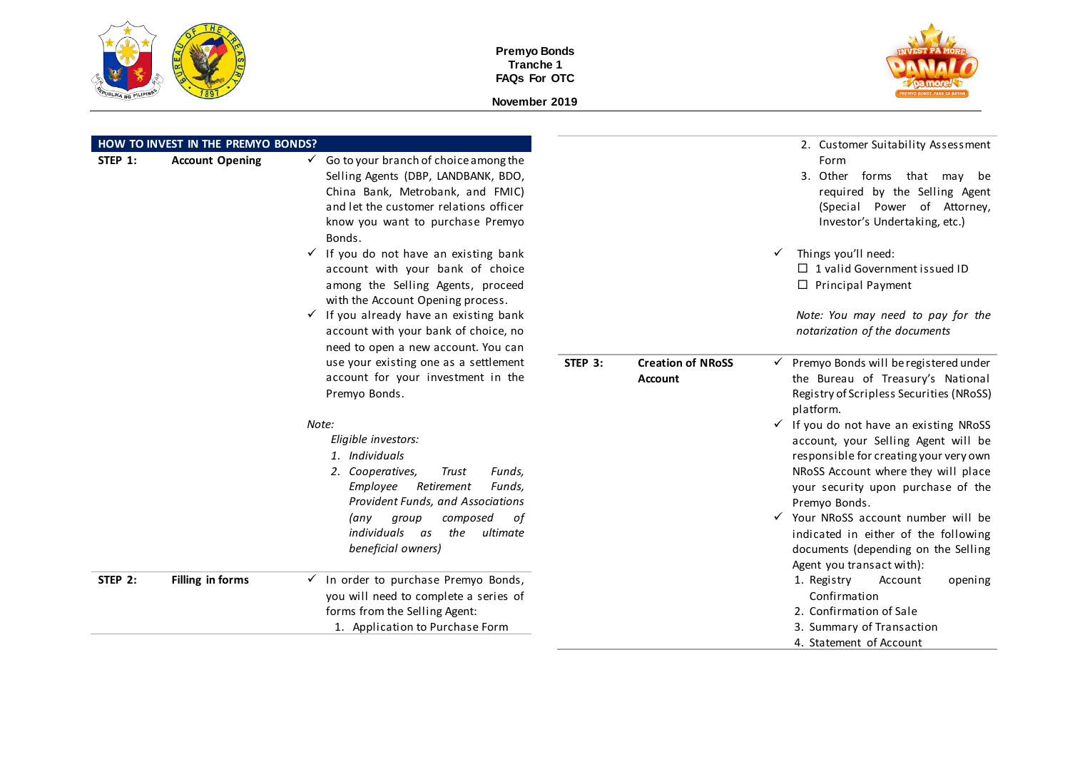



|         | HOW TO INVEST IN THE PREMYO BONDS? |                                                                                                                                                                                                                                                                 |                                                       | 2. Customer Suitability Assessment                                                                                                                                                                                                                                                                                                                                                  |
|---------|------------------------------------|-----------------------------------------------------------------------------------------------------------------------------------------------------------------------------------------------------------------------------------------------------------------|-------------------------------------------------------|-------------------------------------------------------------------------------------------------------------------------------------------------------------------------------------------------------------------------------------------------------------------------------------------------------------------------------------------------------------------------------------|
| STEP 1: | <b>Account Opening</b>             | $\checkmark$ Go to your branch of choice among the<br>Selling Agents (DBP, LANDBANK, BDO,<br>China Bank, Metrobank, and FMIC)<br>and let the customer relations officer<br>know you want to purchase Premyo<br>Bonds.                                           |                                                       | Form<br>3. Other forms that may be<br>required by the Selling Agent<br>(Special Power of Attorney,<br>Investor's Undertaking, etc.)                                                                                                                                                                                                                                                 |
|         |                                    | $\checkmark$ If you do not have an existing bank<br>account with your bank of choice<br>among the Selling Agents, proceed<br>with the Account Opening process.<br>$\checkmark$ If you already have an existing bank<br>account with your bank of choice, no     |                                                       | Things you'll need:<br>$\checkmark$<br>$\Box$ 1 valid Government issued ID<br>$\Box$ Principal Payment<br>Note: You may need to pay for the<br>notarization of the documents                                                                                                                                                                                                        |
|         |                                    | need to open a new account. You can<br>use your existing one as a settlement<br>account for your investment in the<br>Premyo Bonds.                                                                                                                             | STEP 3:<br><b>Creation of NRoSS</b><br><b>Account</b> | $\checkmark$ Premyo Bonds will be registered under<br>the Bureau of Treasury's National<br>Registry of Scripless Securities (NRoSS)<br>platform.                                                                                                                                                                                                                                    |
|         |                                    | Note:<br>Eligible investors:<br>1. Individuals<br>2. Cooperatives,<br>Trust<br>Funds,<br>Employee<br>Retirement<br>Funds,<br>Provident Funds, and Associations<br>composed<br>(any<br>group<br>оf<br>individuals<br>the<br>ultimate<br>as<br>beneficial owners) |                                                       | $\checkmark$ If you do not have an existing NRoSS<br>account, your Selling Agent will be<br>responsible for creating your very own<br>NRoSS Account where they will place<br>your security upon purchase of the<br>Premyo Bonds.<br>√ Your NRoSS account number will be<br>indicated in either of the following<br>documents (depending on the Selling<br>Agent you transact with): |
| STEP 2: | Filling in forms                   | $\checkmark$ In order to purchase Premyo Bonds,<br>you will need to complete a series of<br>forms from the Selling Agent:<br>1. Application to Purchase Form                                                                                                    |                                                       | 1. Registry<br>Account<br>opening<br>Confirmation<br>2. Confirmation of Sale<br>3. Summary of Transaction<br>4. Statement of Account                                                                                                                                                                                                                                                |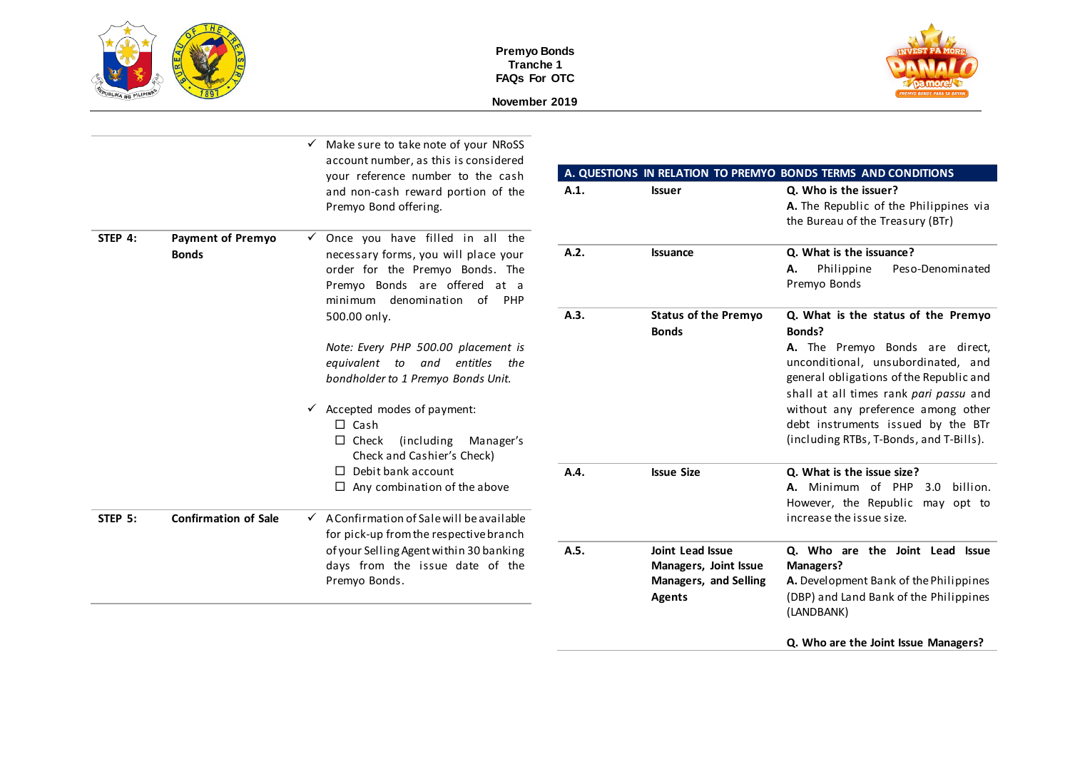

**November 2019**



|         |                                          | Make sure to take note of your NRoSS<br>account number, as this is considered<br>your reference number to the cash                                                                                                                      |      |                                                                                            | A. QUESTIONS IN RELATION TO PREMYO BONDS TERMS AND CONDITIONS                                                                                                                                                                                                                                                                      |
|---------|------------------------------------------|-----------------------------------------------------------------------------------------------------------------------------------------------------------------------------------------------------------------------------------------|------|--------------------------------------------------------------------------------------------|------------------------------------------------------------------------------------------------------------------------------------------------------------------------------------------------------------------------------------------------------------------------------------------------------------------------------------|
|         |                                          | and non-cash reward portion of the<br>Premyo Bond offering.                                                                                                                                                                             | A.1. | <b>Issuer</b>                                                                              | Q. Who is the issuer?<br>A. The Republic of the Philippines via<br>the Bureau of the Treasury (BTr)                                                                                                                                                                                                                                |
| STEP 4: | <b>Payment of Premyo</b><br><b>Bonds</b> | Once you have filled in all the<br>necessary forms, you will place your<br>order for the Premyo Bonds. The<br>Premyo Bonds are offered at a<br>minimum denomination of PHP                                                              | A.2. | <b>Issuance</b>                                                                            | Q. What is the issuance?<br>Philippine<br>Peso-Denominated<br>А.<br>Premyo Bonds                                                                                                                                                                                                                                                   |
|         |                                          | 500.00 only.<br>Note: Every PHP 500.00 placement is<br>entitles the<br>equivalent to<br>and<br>bondholder to 1 Premyo Bonds Unit.<br>$\checkmark$ Accepted modes of payment:<br>$\Box$ Cash<br>$\Box$ Check<br>(including)<br>Manager's | A.3. | <b>Status of the Premyo</b><br><b>Bonds</b>                                                | Q. What is the status of the Premyo<br>Bonds?<br>A. The Premyo Bonds are direct,<br>unconditional, unsubordinated, and<br>general obligations of the Republic and<br>shall at all times rank pari passu and<br>without any preference among other<br>debt instruments issued by the BTr<br>(including RTBs, T-Bonds, and T-Bills). |
|         |                                          | Check and Cashier's Check)<br>$\Box$ Debit bank account<br>$\Box$ Any combination of the above                                                                                                                                          | A.4. | <b>Issue Size</b>                                                                          | O. What is the issue size?<br>A. Minimum of PHP<br>billion.<br>3.0<br>However, the Republic may opt to                                                                                                                                                                                                                             |
| STEP 5: | <b>Confirmation of Sale</b>              | $\checkmark$ A Confirmation of Sale will be available<br>for pick-up from the respective branch                                                                                                                                         |      |                                                                                            | increase the issue size.                                                                                                                                                                                                                                                                                                           |
|         |                                          | of your Selling Agent within 30 banking<br>days from the issue date of the<br>Premyo Bonds.                                                                                                                                             | A.5. | <b>Joint Lead Issue</b><br>Managers, Joint Issue<br><b>Managers, and Selling</b><br>Agents | Q. Who are the Joint Lead Issue<br>Managers?<br>A. Development Bank of the Philippines<br>(DBP) and Land Bank of the Philippines<br>(LANDBANK)                                                                                                                                                                                     |

**Q. Who are the Joint Issue Managers?**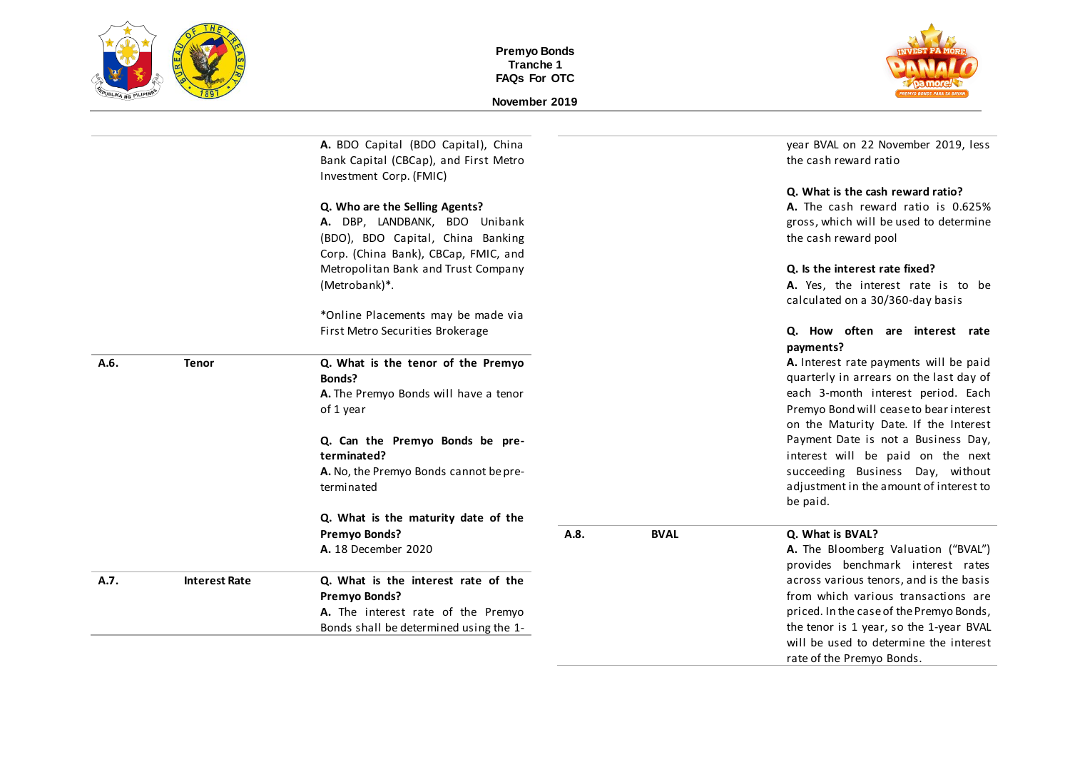



|      |                      | A. BDO Capital (BDO Capital), China<br>Bank Capital (CBCap), and First Metro<br>Investment Corp. (FMIC) |      |             | year BVAL on 22 November 2019, less<br>the cash reward ratio                   |
|------|----------------------|---------------------------------------------------------------------------------------------------------|------|-------------|--------------------------------------------------------------------------------|
|      |                      |                                                                                                         |      |             | Q. What is the cash reward ratio?                                              |
|      |                      | Q. Who are the Selling Agents?                                                                          |      |             | A. The cash reward ratio is 0.625%                                             |
|      |                      | A. DBP, LANDBANK, BDO Unibank                                                                           |      |             | gross, which will be used to determine                                         |
|      |                      | (BDO), BDO Capital, China Banking                                                                       |      |             | the cash reward pool                                                           |
|      |                      | Corp. (China Bank), CBCap, FMIC, and                                                                    |      |             |                                                                                |
|      |                      | Metropolitan Bank and Trust Company                                                                     |      |             | Q. Is the interest rate fixed?                                                 |
|      |                      | (Metrobank)*.                                                                                           |      |             | A. Yes, the interest rate is to be                                             |
|      |                      |                                                                                                         |      |             | calculated on a 30/360-day basis                                               |
|      |                      | *Online Placements may be made via                                                                      |      |             |                                                                                |
|      |                      | First Metro Securities Brokerage                                                                        |      |             | Q. How often are interest rate<br>payments?                                    |
| A.6. | <b>Tenor</b>         | Q. What is the tenor of the Premyo                                                                      |      |             | A. Interest rate payments will be paid                                         |
|      |                      | Bonds?                                                                                                  |      |             | quarterly in arrears on the last day of                                        |
|      |                      | A. The Premyo Bonds will have a tenor                                                                   |      |             | each 3-month interest period. Each                                             |
|      |                      | of 1 year                                                                                               |      |             | Premyo Bond will cease to bear interest                                        |
|      |                      |                                                                                                         |      |             | on the Maturity Date. If the Interest                                          |
|      |                      | Q. Can the Premyo Bonds be pre-                                                                         |      |             | Payment Date is not a Business Day,                                            |
|      |                      | terminated?                                                                                             |      |             | interest will be paid on the next                                              |
|      |                      | A. No, the Premyo Bonds cannot be pre-                                                                  |      |             | succeeding Business Day, without                                               |
|      |                      | terminated                                                                                              |      |             | adjustment in the amount of interest to                                        |
|      |                      |                                                                                                         |      |             | be paid.                                                                       |
|      |                      | Q. What is the maturity date of the                                                                     |      |             |                                                                                |
|      |                      | Premyo Bonds?                                                                                           | A.8. | <b>BVAL</b> | Q. What is BVAL?                                                               |
|      |                      | A. 18 December 2020                                                                                     |      |             | A. The Bloomberg Valuation ("BVAL")                                            |
|      |                      |                                                                                                         |      |             | provides benchmark interest rates                                              |
| A.7. | <b>Interest Rate</b> | Q. What is the interest rate of the<br><b>Premyo Bonds?</b>                                             |      |             | across various tenors, and is the basis<br>from which various transactions are |
|      |                      | A. The interest rate of the Premyo                                                                      |      |             | priced. In the case of the Premyo Bonds,                                       |
|      |                      | Bonds shall be determined using the 1-                                                                  |      |             | the tenor is 1 year, so the 1-year BVAL                                        |
|      |                      |                                                                                                         |      |             | will be used to determine the interest                                         |
|      |                      |                                                                                                         |      |             | rate of the Premyo Bonds.                                                      |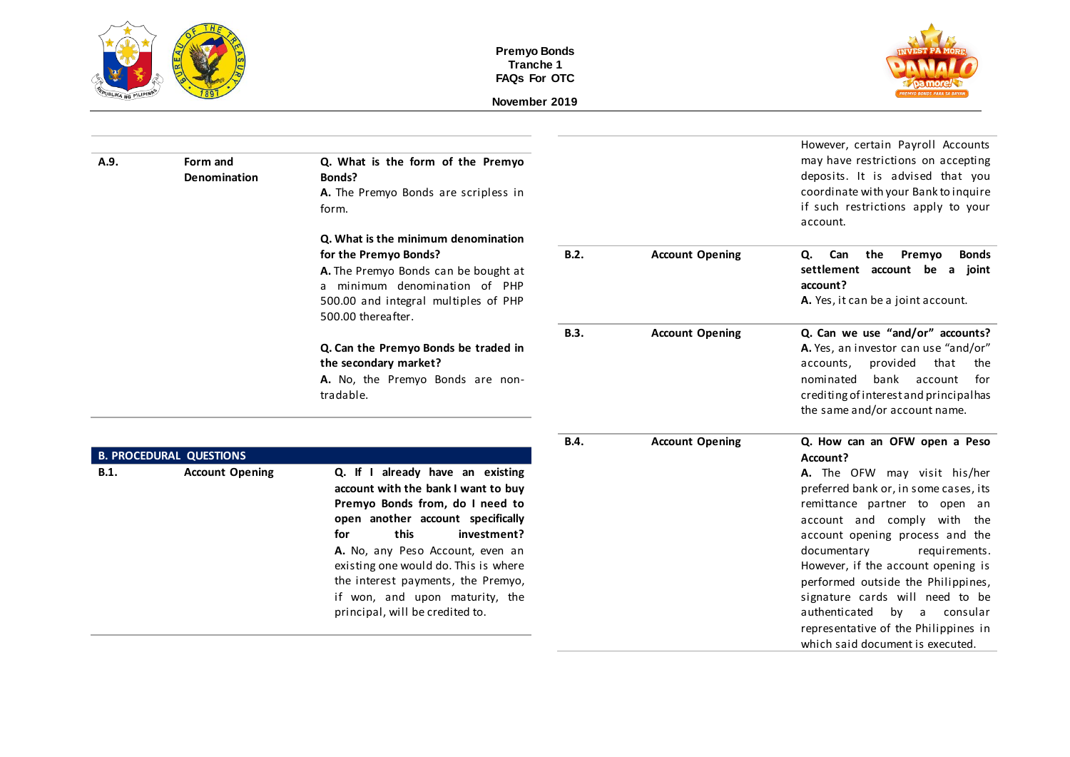



| A.9.        | Form and<br>Denomination                                 | Q. What is the form of the Premyo<br>Bonds?<br>A. The Premyo Bonds are scripless in<br>form.                                                                                                                                                                                                                                                                         |             |                        | However, certain Payroll Accounts<br>may have restrictions on accepting<br>deposits. It is advised that you<br>coordinate with your Bank to inquire<br>if such restrictions apply to your<br>account.                                                                                                                                                                                                                                                                           |
|-------------|----------------------------------------------------------|----------------------------------------------------------------------------------------------------------------------------------------------------------------------------------------------------------------------------------------------------------------------------------------------------------------------------------------------------------------------|-------------|------------------------|---------------------------------------------------------------------------------------------------------------------------------------------------------------------------------------------------------------------------------------------------------------------------------------------------------------------------------------------------------------------------------------------------------------------------------------------------------------------------------|
|             |                                                          | Q. What is the minimum denomination<br>for the Premyo Bonds?<br>A. The Premyo Bonds can be bought at<br>a minimum denomination of PHP<br>500.00 and integral multiples of PHP<br>500.00 thereafter.                                                                                                                                                                  | B.2.        | <b>Account Opening</b> | <b>Bonds</b><br>Can<br>the Premyo<br>Q.<br>settlement account be a joint<br>account?<br>A. Yes, it can be a joint account.                                                                                                                                                                                                                                                                                                                                                      |
|             |                                                          | Q. Can the Premyo Bonds be traded in<br>the secondary market?<br>A. No, the Premyo Bonds are non-<br>tradable.                                                                                                                                                                                                                                                       | <b>B.3.</b> | <b>Account Opening</b> | Q. Can we use "and/or" accounts?<br>A. Yes, an investor can use "and/or"<br>accounts, provided<br>that<br>the<br>bank account<br>nominated<br>for<br>crediting of interest and principalhas<br>the same and/or account name.                                                                                                                                                                                                                                                    |
| <b>B.1.</b> | <b>B. PROCEDURAL QUESTIONS</b><br><b>Account Opening</b> | Q. If I already have an existing<br>account with the bank I want to buy<br>Premyo Bonds from, do I need to<br>open another account specifically<br>this<br>investment?<br>for<br>A. No, any Peso Account, even an<br>existing one would do. This is where<br>the interest payments, the Premyo,<br>if won, and upon maturity, the<br>principal, will be credited to. | B.4.        | <b>Account Opening</b> | Q. How can an OFW open a Peso<br>Account?<br>A. The OFW may visit his/her<br>preferred bank or, in some cases, its<br>remittance partner to open an<br>account and comply with the<br>account opening process and the<br>documentary<br>requirements.<br>However, if the account opening is<br>performed outside the Philippines,<br>signature cards will need to be<br>authenticated by a consular<br>representative of the Philippines in<br>which said document is executed. |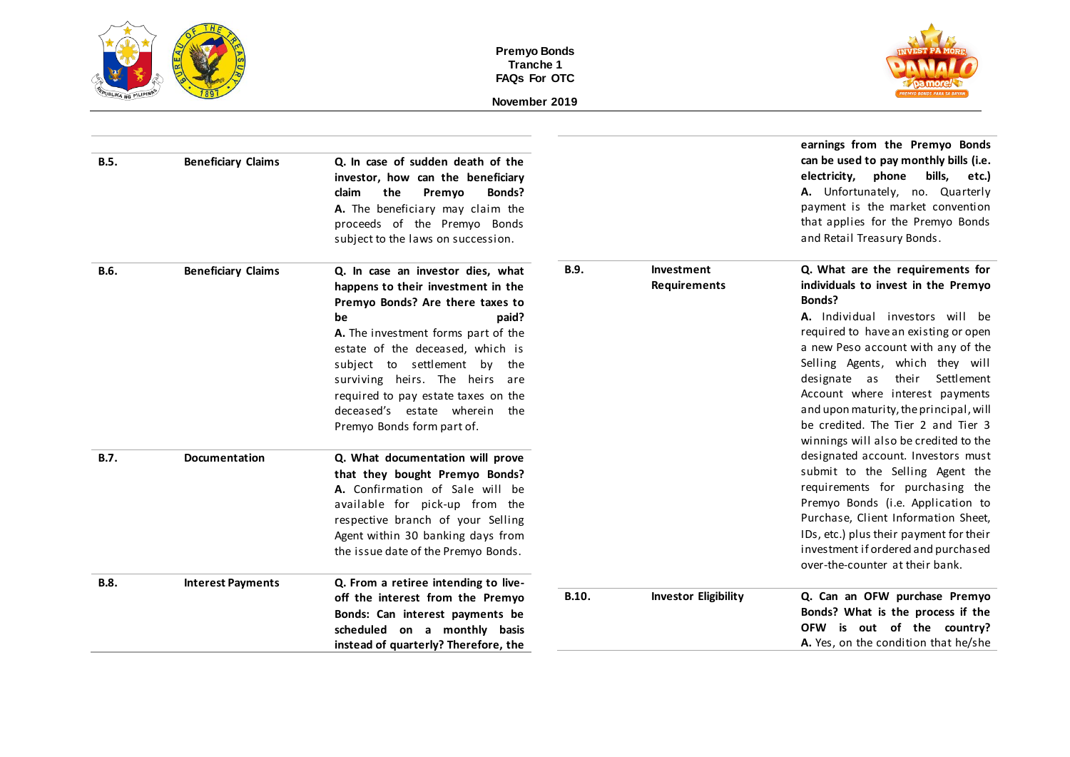



|             |                           |                                                                                                                                                                                                                                                                                                                                                                                  |       |                                   | earnings from the Premyo Bonds                                                                                                                                                                                                                                                                                                                                                                                                           |
|-------------|---------------------------|----------------------------------------------------------------------------------------------------------------------------------------------------------------------------------------------------------------------------------------------------------------------------------------------------------------------------------------------------------------------------------|-------|-----------------------------------|------------------------------------------------------------------------------------------------------------------------------------------------------------------------------------------------------------------------------------------------------------------------------------------------------------------------------------------------------------------------------------------------------------------------------------------|
| <b>B.5.</b> | <b>Beneficiary Claims</b> | Q. In case of sudden death of the<br>investor, how can the beneficiary<br>the<br>claim<br>Premyo<br>Bonds?<br>A. The beneficiary may claim the<br>proceeds of the Premyo Bonds<br>subject to the laws on succession.                                                                                                                                                             |       |                                   | can be used to pay monthly bills (i.e.<br>electricity,<br>phone<br>bills,<br>etc.)<br>A. Unfortunately, no. Quarterly<br>payment is the market convention<br>that applies for the Premyo Bonds<br>and Retail Treasury Bonds.                                                                                                                                                                                                             |
| <b>B.6.</b> | <b>Beneficiary Claims</b> | Q. In case an investor dies, what<br>happens to their investment in the<br>Premyo Bonds? Are there taxes to<br>be<br>paid?<br>A. The investment forms part of the<br>estate of the deceased, which is<br>subject to settlement<br>by the<br>surviving heirs. The heirs are<br>required to pay estate taxes on the<br>deceased's estate wherein the<br>Premyo Bonds form part of. | B.9.  | Investment<br><b>Requirements</b> | Q. What are the requirements for<br>individuals to invest in the Premyo<br>Bonds?<br>A. Individual investors will be<br>required to have an existing or open<br>a new Peso account with any of the<br>Selling Agents, which they will<br>their<br>designate as<br>Settlement<br>Account where interest payments<br>and upon maturity, the principal, will<br>be credited. The Tier 2 and Tier 3<br>winnings will also be credited to the |
| <b>B.7.</b> | <b>Documentation</b>      | Q. What documentation will prove<br>that they bought Premyo Bonds?<br>A. Confirmation of Sale will be<br>available for pick-up from the<br>respective branch of your Selling<br>Agent within 30 banking days from<br>the issue date of the Premyo Bonds.                                                                                                                         |       |                                   | designated account. Investors must<br>submit to the Selling Agent the<br>requirements for purchasing the<br>Premyo Bonds (i.e. Application to<br>Purchase, Client Information Sheet,<br>IDs, etc.) plus their payment for their<br>investment if ordered and purchased<br>over-the-counter at their bank.                                                                                                                                |
| <b>B.8.</b> | <b>Interest Payments</b>  | Q. From a retiree intending to live-<br>off the interest from the Premyo<br>Bonds: Can interest payments be<br>scheduled on a monthly basis<br>instead of quarterly? Therefore, the                                                                                                                                                                                              | B.10. | <b>Investor Eligibility</b>       | Q. Can an OFW purchase Premyo<br>Bonds? What is the process if the<br>OFW is out of the country?<br>A. Yes, on the condition that he/she                                                                                                                                                                                                                                                                                                 |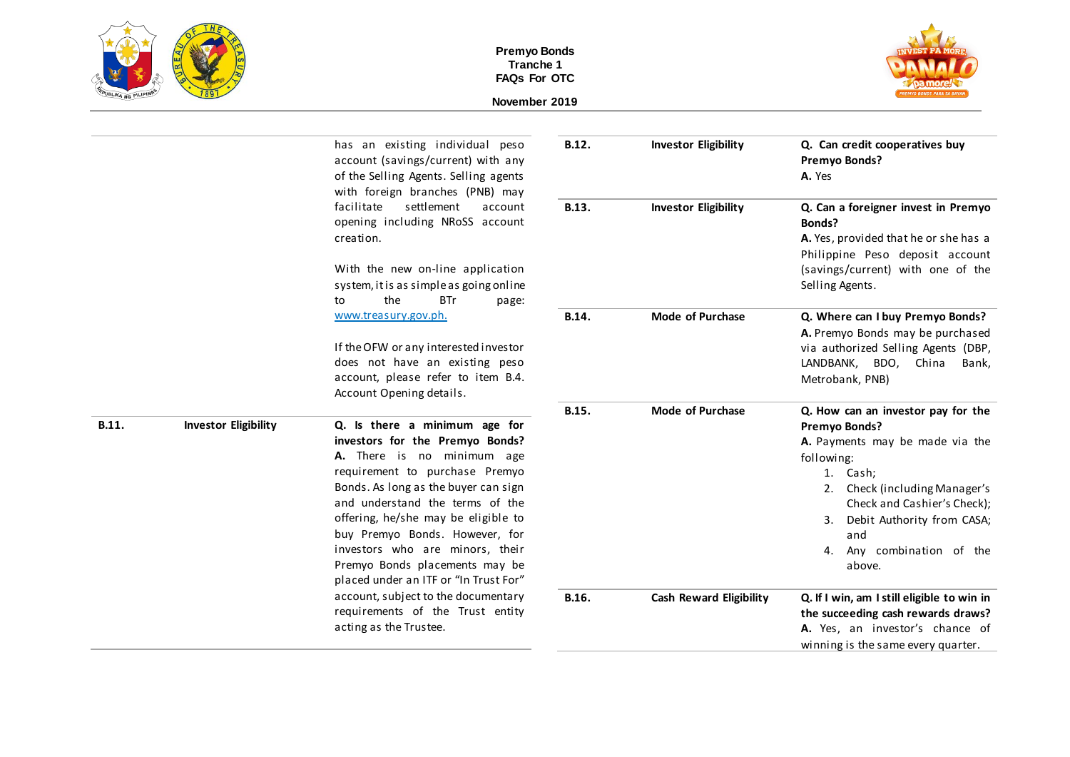



|       |                             | has an existing individual peso<br>account (savings/current) with any<br>of the Selling Agents. Selling agents<br>with foreign branches (PNB) may<br>settlement<br>facilitate<br>account<br>opening including NRoSS account<br>creation.<br>With the new on-line application<br>system, it is as simple as going online<br>the<br><b>BTr</b><br>to<br>page:<br>www.treasury.gov.ph.<br>If the OFW or any interested investor<br>does not have an existing peso<br>account, please refer to item B.4.<br>Account Opening details. | B.12.          | <b>Investor Eligibility</b>                            | Q. Can credit cooperatives buy<br>Premyo Bonds?<br>A. Yes<br>Q. Can a foreigner invest in Premyo<br>Bonds?<br>A. Yes, provided that he or she has a<br>Philippine Peso deposit account<br>(savings/current) with one of the<br>Selling Agents.<br>Q. Where can I buy Premyo Bonds?<br>A. Premyo Bonds may be purchased<br>via authorized Selling Agents (DBP,<br>LANDBANK, BDO, China<br>Bank,<br>Metrobank, PNB) |
|-------|-----------------------------|----------------------------------------------------------------------------------------------------------------------------------------------------------------------------------------------------------------------------------------------------------------------------------------------------------------------------------------------------------------------------------------------------------------------------------------------------------------------------------------------------------------------------------|----------------|--------------------------------------------------------|-------------------------------------------------------------------------------------------------------------------------------------------------------------------------------------------------------------------------------------------------------------------------------------------------------------------------------------------------------------------------------------------------------------------|
|       |                             |                                                                                                                                                                                                                                                                                                                                                                                                                                                                                                                                  | B.13.<br>B.14. | <b>Investor Eligibility</b><br><b>Mode of Purchase</b> |                                                                                                                                                                                                                                                                                                                                                                                                                   |
|       |                             |                                                                                                                                                                                                                                                                                                                                                                                                                                                                                                                                  |                |                                                        |                                                                                                                                                                                                                                                                                                                                                                                                                   |
| B.11. | <b>Investor Eligibility</b> | Q. Is there a minimum age for<br>investors for the Premyo Bonds?<br>A. There is no minimum age<br>requirement to purchase Premyo<br>Bonds. As long as the buyer can sign<br>and understand the terms of the<br>offering, he/she may be eligible to<br>buy Premyo Bonds. However, for<br>investors who are minors, their<br>Premyo Bonds placements may be<br>placed under an ITF or "In Trust For"                                                                                                                               | B.15.          | <b>Mode of Purchase</b>                                | Q. How can an investor pay for the<br>Premyo Bonds?<br>A. Payments may be made via the<br>following:<br>1. Cash;<br>Check (including Manager's<br>2.<br>Check and Cashier's Check);<br>Debit Authority from CASA;<br>3.<br>and<br>Any combination of the<br>4.<br>above.                                                                                                                                          |
|       |                             | account, subject to the documentary<br>requirements of the Trust entity<br>acting as the Trustee.                                                                                                                                                                                                                                                                                                                                                                                                                                | B.16.          | <b>Cash Reward Eligibility</b>                         | Q. If I win, am I still eligible to win in<br>the succeeding cash rewards draws?<br>A. Yes, an investor's chance of<br>winning is the same every quarter.                                                                                                                                                                                                                                                         |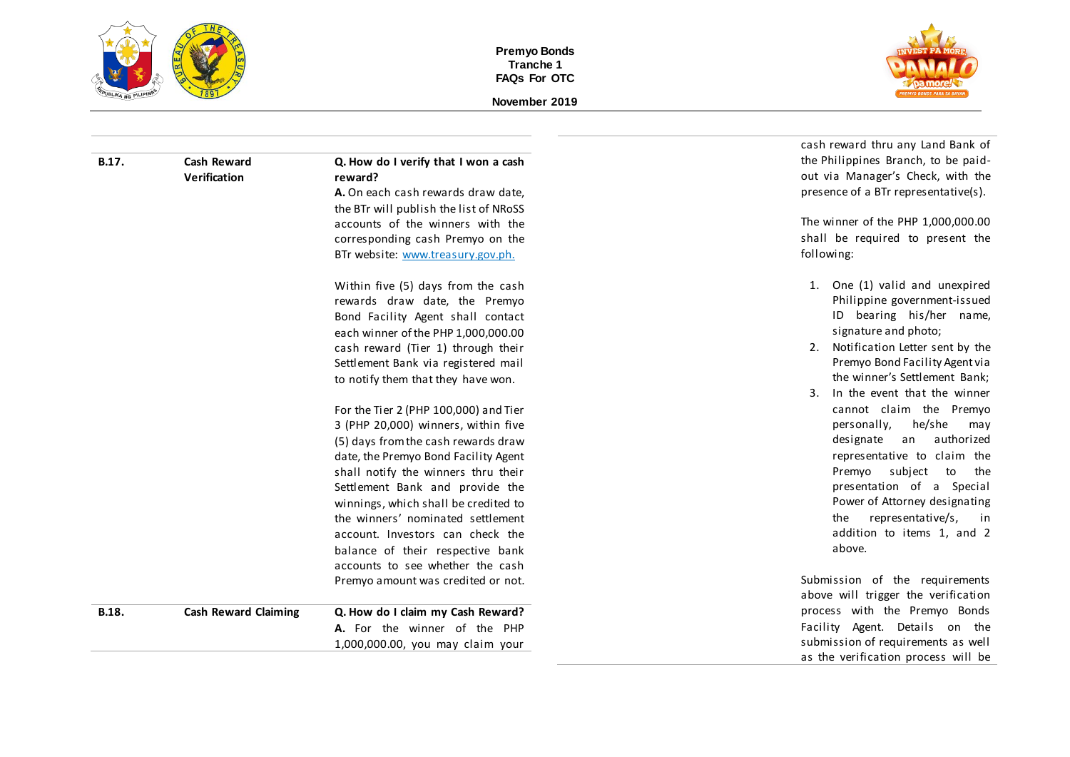



|       |                             |                                        | cash reward thru any Land Bank of    |
|-------|-----------------------------|----------------------------------------|--------------------------------------|
| B.17. | <b>Cash Reward</b>          | Q. How do I verify that I won a cash   | the Philippines Branch, to be paid-  |
|       | Verification                | reward?                                | out via Manager's Check, with the    |
|       |                             | A. On each cash rewards draw date,     | presence of a BTr representative(s). |
|       |                             | the BTr will publish the list of NRoSS |                                      |
|       |                             | accounts of the winners with the       | The winner of the PHP 1,000,000.00   |
|       |                             | corresponding cash Premyo on the       | shall be required to present the     |
|       |                             | BTr website: www.treasury.gov.ph.      | following:                           |
|       |                             | Within five (5) days from the cash     | 1. One (1) valid and unexpired       |
|       |                             | rewards draw date, the Premyo          | Philippine government-issued         |
|       |                             | Bond Facility Agent shall contact      | ID bearing his/her name,             |
|       |                             | each winner of the PHP 1,000,000.00    | signature and photo;                 |
|       |                             | cash reward (Tier 1) through their     | 2. Notification Letter sent by the   |
|       |                             | Settlement Bank via registered mail    | Premyo Bond Facility Agent via       |
|       |                             | to notify them that they have won.     | the winner's Settlement Bank;        |
|       |                             |                                        | In the event that the winner<br>3.   |
|       |                             | For the Tier 2 (PHP 100,000) and Tier  | cannot claim the Premyo              |
|       |                             | 3 (PHP 20,000) winners, within five    | he/she<br>personally,<br>may         |
|       |                             | (5) days from the cash rewards draw    | authorized<br>designate<br>an        |
|       |                             | date, the Premyo Bond Facility Agent   | representative to claim the          |
|       |                             | shall notify the winners thru their    | Premyo subject to<br>the             |
|       |                             | Settlement Bank and provide the        | presentation of a Special            |
|       |                             | winnings, which shall be credited to   | Power of Attorney designating        |
|       |                             | the winners' nominated settlement      | representative/s,<br>the<br>in i     |
|       |                             | account. Investors can check the       | addition to items 1, and 2           |
|       |                             | balance of their respective bank       | above.                               |
|       |                             | accounts to see whether the cash       |                                      |
|       |                             | Premyo amount was credited or not.     | Submission of the requirements       |
|       |                             |                                        | above will trigger the verification  |
| B.18. | <b>Cash Reward Claiming</b> | Q. How do I claim my Cash Reward?      | process with the Premyo Bonds        |
|       |                             | A. For the winner of the PHP           | Facility Agent. Details on the       |
|       |                             | 1,000,000.00, you may claim your       | submission of requirements as well   |
|       |                             |                                        | as the verification process will be  |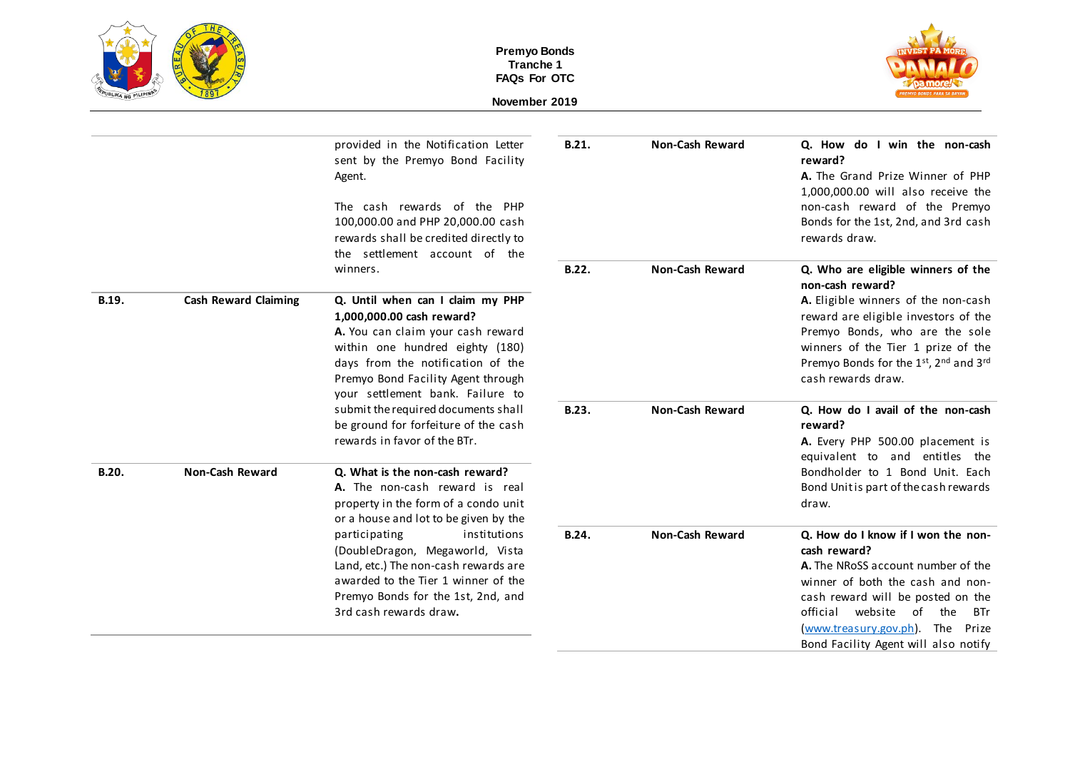





|              |                             | provided in the Notification Letter<br>sent by the Premyo Bond Facility<br>Agent.<br>The cash rewards of the PHP<br>100,000.00 and PHP 20,000.00 cash<br>rewards shall be credited directly to<br>the settlement account of the                      | B.21. | <b>Non-Cash Reward</b> | Q. How do I win the non-cash<br>reward?<br>A. The Grand Prize Winner of PHP<br>1,000,000.00 will also receive the<br>non-cash reward of the Premyo<br>Bonds for the 1st, 2nd, and 3rd cash<br>rewards draw.                                                                     |
|--------------|-----------------------------|------------------------------------------------------------------------------------------------------------------------------------------------------------------------------------------------------------------------------------------------------|-------|------------------------|---------------------------------------------------------------------------------------------------------------------------------------------------------------------------------------------------------------------------------------------------------------------------------|
|              |                             | winners.                                                                                                                                                                                                                                             | B.22. | <b>Non-Cash Reward</b> | Q. Who are eligible winners of the<br>non-cash reward?                                                                                                                                                                                                                          |
| B.19.        | <b>Cash Reward Claiming</b> | Q. Until when can I claim my PHP<br>1,000,000.00 cash reward?<br>A. You can claim your cash reward<br>within one hundred eighty (180)<br>days from the notification of the<br>Premyo Bond Facility Agent through<br>your settlement bank. Failure to |       |                        | A. Eligible winners of the non-cash<br>reward are eligible investors of the<br>Premyo Bonds, who are the sole<br>winners of the Tier 1 prize of the<br>Premyo Bonds for the 1st, 2nd and 3rd<br>cash rewards draw.                                                              |
|              |                             | submit the required documents shall<br>be ground for forfeiture of the cash<br>rewards in favor of the BTr.                                                                                                                                          | B.23. | <b>Non-Cash Reward</b> | Q. How do I avail of the non-cash<br>reward?<br>A. Every PHP 500.00 placement is<br>equivalent to and entitles the                                                                                                                                                              |
| <b>B.20.</b> | <b>Non-Cash Reward</b>      | Q. What is the non-cash reward?<br>A. The non-cash reward is real<br>property in the form of a condo unit<br>or a house and lot to be given by the                                                                                                   |       |                        | Bondholder to 1 Bond Unit. Each<br>Bond Unitis part of the cash rewards<br>draw.                                                                                                                                                                                                |
|              |                             | participating<br>institutions<br>(DoubleDragon, Megaworld, Vista<br>Land, etc.) The non-cash rewards are<br>awarded to the Tier 1 winner of the<br>Premyo Bonds for the 1st, 2nd, and<br>3rd cash rewards draw.                                      | B.24. | <b>Non-Cash Reward</b> | Q. How do I know if I won the non-<br>cash reward?<br>A. The NRoSS account number of the<br>winner of both the cash and non-<br>cash reward will be posted on the<br>official website of the<br>BTr<br>(www.treasury.gov.ph). The Prize<br>Bond Facility Agent will also notify |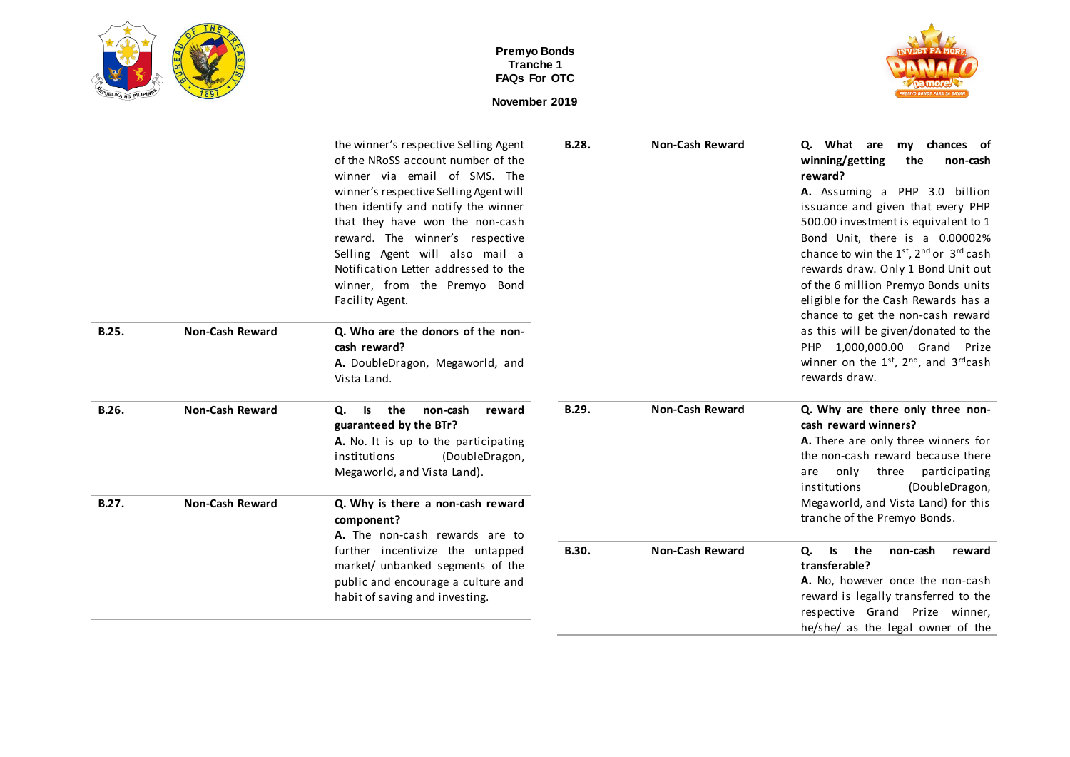| <b>PEPUBLIKA NG PILIPINAS</b> |  |
|-------------------------------|--|



| B.25.          | <b>Non-Cash Reward</b>                           | the winner's respective Selling Agent<br>of the NRoSS account number of the<br>winner via email of SMS. The<br>winner's respective Selling Agent will<br>then identify and notify the winner<br>that they have won the non-cash<br>reward. The winner's respective<br>Selling Agent will also mail a<br>Notification Letter addressed to the<br>winner, from the Premyo Bond<br>Facility Agent.<br>Q. Who are the donors of the non-<br>cash reward?<br>A. DoubleDragon, Megaworld, and<br>Vista Land. | B.28.        | <b>Non-Cash Reward</b> | Q. What are<br>chances of<br>my<br>winning/getting<br>the<br>non-cash<br>reward?<br>A. Assuming a PHP 3.0 billion<br>issuance and given that every PHP<br>500.00 investment is equivalent to 1<br>Bond Unit, there is a 0.00002%<br>chance to win the 1st, 2nd or 3rd cash<br>rewards draw. Only 1 Bond Unit out<br>of the 6 million Premyo Bonds units<br>eligible for the Cash Rewards has a<br>chance to get the non-cash reward<br>as this will be given/donated to the<br>PHP 1,000,000.00 Grand Prize<br>winner on the $1^{st}$ , $2^{nd}$ , and $3^{rd}$ cash<br>rewards draw. |
|----------------|--------------------------------------------------|--------------------------------------------------------------------------------------------------------------------------------------------------------------------------------------------------------------------------------------------------------------------------------------------------------------------------------------------------------------------------------------------------------------------------------------------------------------------------------------------------------|--------------|------------------------|---------------------------------------------------------------------------------------------------------------------------------------------------------------------------------------------------------------------------------------------------------------------------------------------------------------------------------------------------------------------------------------------------------------------------------------------------------------------------------------------------------------------------------------------------------------------------------------|
| B.26.<br>B.27. | <b>Non-Cash Reward</b><br><b>Non-Cash Reward</b> | reward<br><b>Is</b><br>the<br>non-cash<br>Ο.<br>guaranteed by the BTr?<br>A. No. It is up to the participating<br>institutions<br>(DoubleDragon,<br>Megaworld, and Vista Land).<br>Q. Why is there a non-cash reward                                                                                                                                                                                                                                                                                   | B.29.        | <b>Non-Cash Reward</b> | Q. Why are there only three non-<br>cash reward winners?<br>A. There are only three winners for<br>the non-cash reward because there<br>three participating<br>are<br>only<br>institutions<br>(DoubleDragon,<br>Megaworld, and Vista Land) for this                                                                                                                                                                                                                                                                                                                                   |
|                |                                                  | component?                                                                                                                                                                                                                                                                                                                                                                                                                                                                                             |              |                        | tranche of the Premyo Bonds.                                                                                                                                                                                                                                                                                                                                                                                                                                                                                                                                                          |
|                |                                                  | A. The non-cash rewards are to<br>further incentivize the untapped                                                                                                                                                                                                                                                                                                                                                                                                                                     | <b>B.30.</b> | <b>Non-Cash Reward</b> | the<br>non-cash<br>Q.<br>ls<br>reward                                                                                                                                                                                                                                                                                                                                                                                                                                                                                                                                                 |
|                |                                                  | market/ unbanked segments of the<br>public and encourage a culture and<br>habit of saving and investing.                                                                                                                                                                                                                                                                                                                                                                                               |              |                        | transferable?<br>A. No, however once the non-cash<br>reward is legally transferred to the<br>respective Grand Prize winner,<br>he/she/ as the legal owner of the                                                                                                                                                                                                                                                                                                                                                                                                                      |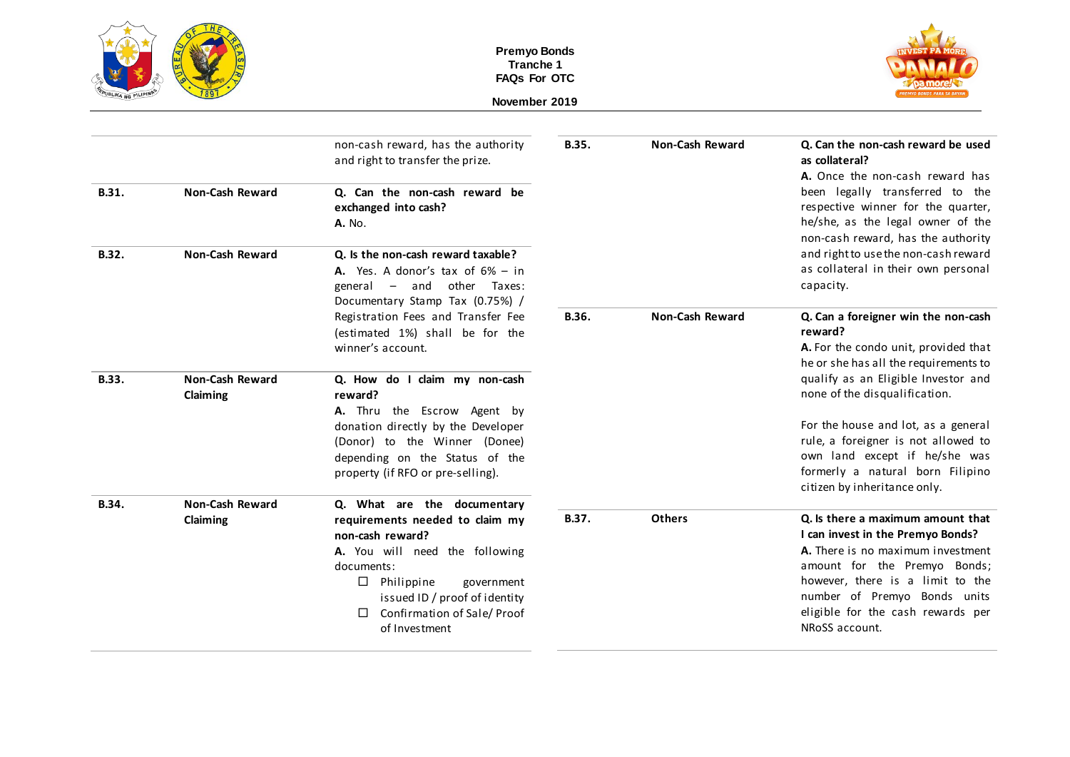



|                                    | non-cash reward, has the authority<br>and right to transfer the prize.                                                                                                        | <b>B.35.</b>                                                   | <b>Non-Cash Reward</b> | Q. Can the non-cash reward be used<br>as collateral?<br>A. Once the non-cash reward has                                                                                                      |
|------------------------------------|-------------------------------------------------------------------------------------------------------------------------------------------------------------------------------|----------------------------------------------------------------|------------------------|----------------------------------------------------------------------------------------------------------------------------------------------------------------------------------------------|
| <b>Non-Cash Reward</b>             | Q. Can the non-cash reward be<br>exchanged into cash?<br><b>A.</b> No.                                                                                                        |                                                                |                        | been legally transferred to the<br>respective winner for the quarter,<br>he/she, as the legal owner of the<br>non-cash reward, has the authority                                             |
| <b>Non-Cash Reward</b>             | Q. Is the non-cash reward taxable?<br>A. Yes. A donor's tax of $6\%$ - in<br>other Taxes:<br>general $-$ and<br>Documentary Stamp Tax (0.75%) /                               |                                                                |                        | and right to use the non-cash reward<br>as collateral in their own personal<br>capacity.                                                                                                     |
|                                    | Registration Fees and Transfer Fee<br>(estimated 1%) shall be for the<br>winner's account.                                                                                    | B.36.                                                          | <b>Non-Cash Reward</b> | Q. Can a foreigner win the non-cash<br>reward?<br>A. For the condo unit, provided that<br>he or she has all the requirements to                                                              |
| <b>Non-Cash Reward</b><br>Claiming | Q. How do I claim my non-cash<br>reward?                                                                                                                                      |                                                                |                        | qualify as an Eligible Investor and<br>none of the disqualification.                                                                                                                         |
|                                    | donation directly by the Developer<br>(Donor) to the Winner (Donee)<br>depending on the Status of the<br>property (if RFO or pre-selling).                                    |                                                                |                        | For the house and lot, as a general<br>rule, a foreigner is not allowed to<br>own land except if he/she was<br>formerly a natural born Filipino<br>citizen by inheritance only.              |
| <b>Non-Cash Reward</b>             | Q. What are the documentary                                                                                                                                                   | B.37.                                                          | <b>Others</b>          | Q. Is there a maximum amount that                                                                                                                                                            |
|                                    | non-cash reward?                                                                                                                                                              |                                                                |                        | I can invest in the Premyo Bonds?                                                                                                                                                            |
|                                    | A. You will need the following<br>documents:<br>$\Box$<br>Philippine<br>government<br>issued ID / proof of identity<br>Confirmation of Sale/ Proof<br>$\Box$<br>of Investment |                                                                |                        | A. There is no maximum investment<br>amount for the Premyo Bonds;<br>however, there is a limit to the<br>number of Premyo Bonds units<br>eligible for the cash rewards per<br>NRoSS account. |
|                                    | Claiming                                                                                                                                                                      | A. Thru the Escrow Agent by<br>requirements needed to claim my |                        |                                                                                                                                                                                              |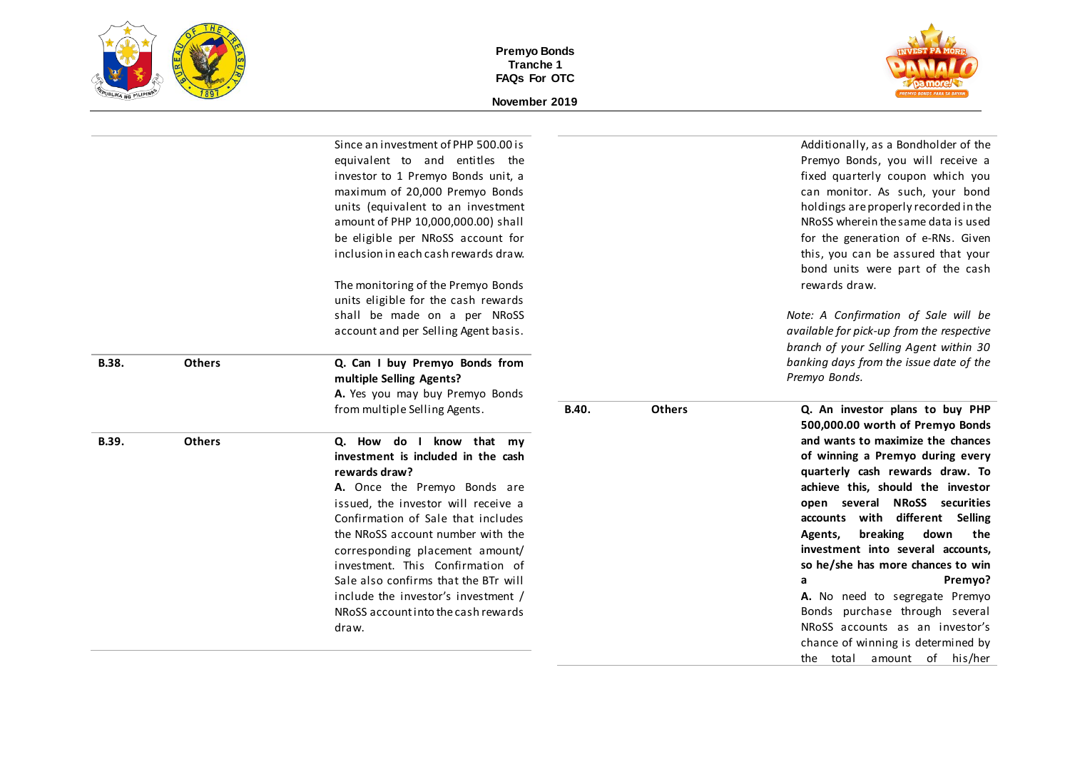



|       |               | Since an investment of PHP 500.00 is                                      |       |               | Additionally, as a Bondholder of the                                    |
|-------|---------------|---------------------------------------------------------------------------|-------|---------------|-------------------------------------------------------------------------|
|       |               | equivalent to and entitles the                                            |       |               | Premyo Bonds, you will receive a                                        |
|       |               | investor to 1 Premyo Bonds unit, a                                        |       |               | fixed quarterly coupon which you                                        |
|       |               | maximum of 20,000 Premyo Bonds                                            |       |               | can monitor. As such, your bond                                         |
|       |               | units (equivalent to an investment                                        |       |               | holdings are properly recorded in the                                   |
|       |               | amount of PHP 10,000,000.00) shall                                        |       |               | NRoSS wherein the same data is used                                     |
|       |               | be eligible per NRoSS account for                                         |       |               | for the generation of e-RNs. Given                                      |
|       |               | inclusion in each cash rewards draw.                                      |       |               | this, you can be assured that your<br>bond units were part of the cash  |
|       |               |                                                                           |       |               | rewards draw.                                                           |
|       |               | The monitoring of the Premyo Bonds                                        |       |               |                                                                         |
|       |               | units eligible for the cash rewards                                       |       |               |                                                                         |
|       |               | shall be made on a per NRoSS                                              |       |               | Note: A Confirmation of Sale will be                                    |
|       |               | account and per Selling Agent basis.                                      |       |               | available for pick-up from the respective                               |
|       |               |                                                                           |       |               | branch of your Selling Agent within 30                                  |
| B.38. | <b>Others</b> | Q. Can I buy Premyo Bonds from                                            |       |               | banking days from the issue date of the<br>Premyo Bonds.                |
|       |               | multiple Selling Agents?                                                  |       |               |                                                                         |
|       |               | A. Yes you may buy Premyo Bonds<br>from multiple Selling Agents.          | B.40. | <b>Others</b> |                                                                         |
|       |               |                                                                           |       |               | Q. An investor plans to buy PHP<br>500,000.00 worth of Premyo Bonds     |
|       |               |                                                                           |       |               | and wants to maximize the chances                                       |
| B.39. | <b>Others</b> | Q. How do I know that my<br>investment is included in the cash            |       |               | of winning a Premyo during every                                        |
|       |               | rewards draw?                                                             |       |               | quarterly cash rewards draw. To                                         |
|       |               |                                                                           |       |               | achieve this, should the investor                                       |
|       |               | A. Once the Premyo Bonds are                                              |       |               | open several NRoSS securities                                           |
|       |               | issued, the investor will receive a<br>Confirmation of Sale that includes |       |               | accounts with different Selling                                         |
|       |               | the NRoSS account number with the                                         |       |               |                                                                         |
|       |               |                                                                           |       |               | breaking<br>down<br>the<br>Agents,<br>investment into several accounts. |
|       |               | corresponding placement amount/                                           |       |               |                                                                         |
|       |               | investment. This Confirmation of                                          |       |               | so he/she has more chances to win                                       |
|       |               | Sale also confirms that the BTr will                                      |       |               | Premyo?<br>a                                                            |
|       |               | include the investor's investment /                                       |       |               | A. No need to segregate Premyo                                          |
|       |               | NRoSS account into the cash rewards                                       |       |               | Bonds purchase through several                                          |
|       |               | draw.                                                                     |       |               | NRoSS accounts as an investor's                                         |
|       |               |                                                                           |       |               | chance of winning is determined by                                      |
|       |               |                                                                           |       |               | the total amount of his/her                                             |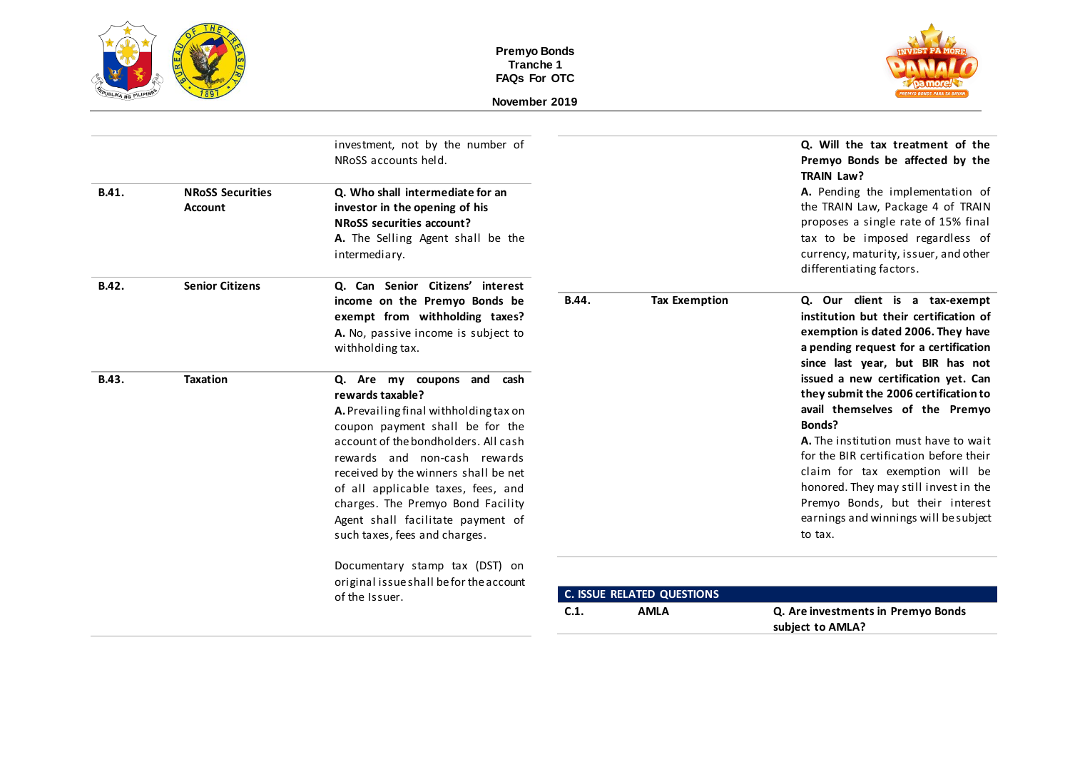



|       |                                    | investment, not by the number of<br>NRoSS accounts held.                                                                                                                                                                                                                                                                                                                                     |       |                                   | Q. Will the tax treatment of the<br>Premyo Bonds be affected by the<br>TRAIN Law?                                                                                                                                                                                                                                                                                              |
|-------|------------------------------------|----------------------------------------------------------------------------------------------------------------------------------------------------------------------------------------------------------------------------------------------------------------------------------------------------------------------------------------------------------------------------------------------|-------|-----------------------------------|--------------------------------------------------------------------------------------------------------------------------------------------------------------------------------------------------------------------------------------------------------------------------------------------------------------------------------------------------------------------------------|
| B.41. | <b>NRoSS Securities</b><br>Account | Q. Who shall intermediate for an<br>investor in the opening of his<br>NRoSS securities account?<br>A. The Selling Agent shall be the<br>intermediary.                                                                                                                                                                                                                                        |       |                                   | A. Pending the implementation of<br>the TRAIN Law, Package 4 of TRAIN<br>proposes a single rate of 15% final<br>tax to be imposed regardless of<br>currency, maturity, issuer, and other<br>differentiating factors.                                                                                                                                                           |
| B.42. | <b>Senior Citizens</b>             | Q. Can Senior Citizens' interest<br>income on the Premyo Bonds be<br>exempt from withholding taxes?<br>A. No, passive income is subject to<br>withholding tax.                                                                                                                                                                                                                               | B.44. | <b>Tax Exemption</b>              | Q. Our client is a tax-exempt<br>institution but their certification of<br>exemption is dated 2006. They have<br>a pending request for a certification<br>since last year, but BIR has not                                                                                                                                                                                     |
| B.43. | <b>Taxation</b>                    | Q. Are my coupons and cash<br>rewards taxable?<br>A. Prevailing final withholding tax on<br>coupon payment shall be for the<br>account of the bondholders. All cash<br>rewards and non-cash rewards<br>received by the winners shall be net<br>of all applicable taxes, fees, and<br>charges. The Premyo Bond Facility<br>Agent shall facilitate payment of<br>such taxes, fees and charges. |       |                                   | issued a new certification yet. Can<br>they submit the 2006 certification to<br>avail themselves of the Premyo<br>Bonds?<br>A. The institution must have to wait<br>for the BIR certification before their<br>claim for tax exemption will be<br>honored. They may still invest in the<br>Premyo Bonds, but their interest<br>earnings and winnings will be subject<br>to tax. |
|       |                                    | Documentary stamp tax (DST) on<br>original issueshall befor the account<br>of the Issuer.                                                                                                                                                                                                                                                                                                    |       | <b>C. ISSUE RELATED QUESTIONS</b> |                                                                                                                                                                                                                                                                                                                                                                                |
|       |                                    |                                                                                                                                                                                                                                                                                                                                                                                              | C.1.  | <b>AMLA</b>                       | Q. Are investments in Premyo Bonds<br>subject to AMLA?                                                                                                                                                                                                                                                                                                                         |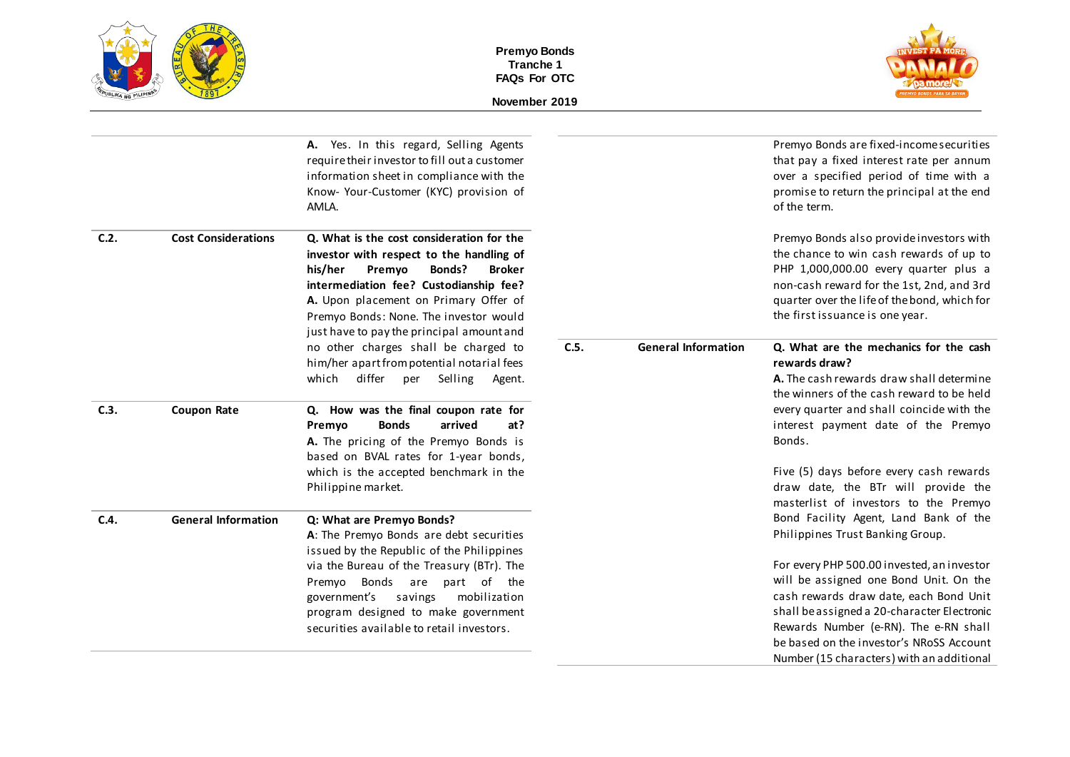



|                            | A. Yes. In this regard, Selling Agents<br>require their investor to fill out a customer<br>information sheet in compliance with the<br>Know- Your-Customer (KYC) provision of<br>AMLA.                                                                             |                                                                                    |                            | Premyo Bonds are fixed-income securities<br>that pay a fixed interest rate per annum<br>over a specified period of time with a<br>promise to return the principal at the end<br>of the term.                                                                                                                    |
|----------------------------|--------------------------------------------------------------------------------------------------------------------------------------------------------------------------------------------------------------------------------------------------------------------|------------------------------------------------------------------------------------|----------------------------|-----------------------------------------------------------------------------------------------------------------------------------------------------------------------------------------------------------------------------------------------------------------------------------------------------------------|
| <b>Cost Considerations</b> | Q. What is the cost consideration for the<br>investor with respect to the handling of<br>his/her<br>Premyo<br>Bonds?<br><b>Broker</b><br>intermediation fee? Custodianship fee?<br>A. Upon placement on Primary Offer of<br>Premyo Bonds: None. The investor would |                                                                                    |                            | Premyo Bonds also provide investors with<br>the chance to win cash rewards of up to<br>PHP 1,000,000.00 every quarter plus a<br>non-cash reward for the 1st, 2nd, and 3rd<br>quarter over the life of the bond, which for<br>the first issuance is one year.                                                    |
|                            | no other charges shall be charged to<br>him/her apart from potential notarial fees<br>differ<br>which<br>Selling<br>per<br>Agent.                                                                                                                                  | C.5.                                                                               | <b>General Information</b> | Q. What are the mechanics for the cash<br>rewards draw?<br>A. The cash rewards draw shall determine<br>the winners of the cash reward to be held                                                                                                                                                                |
| <b>Coupon Rate</b>         | Q. How was the final coupon rate for<br><b>Bonds</b><br>arrived<br>Premyo<br>at?<br>A. The pricing of the Premyo Bonds is                                                                                                                                          |                                                                                    |                            | every quarter and shall coincide with the<br>interest payment date of the Premyo<br>Bonds.                                                                                                                                                                                                                      |
|                            | which is the accepted benchmark in the<br>Philippine market.                                                                                                                                                                                                       |                                                                                    |                            | Five (5) days before every cash rewards<br>draw date, the BTr will provide the<br>masterlist of investors to the Premyo                                                                                                                                                                                         |
| <b>General Information</b> | Q: What are Premyo Bonds?<br>A: The Premyo Bonds are debt securities<br>issued by the Republic of the Philippines                                                                                                                                                  |                                                                                    |                            | Bond Facility Agent, Land Bank of the<br>Philippines Trust Banking Group.                                                                                                                                                                                                                                       |
|                            | via the Bureau of the Treasury (BTr). The<br>Premyo Bonds are part of the<br>government's<br>savings<br>mobilization<br>program designed to make government<br>securities available to retail investors.                                                           |                                                                                    |                            | For every PHP 500.00 invested, an investor<br>will be assigned one Bond Unit. On the<br>cash rewards draw date, each Bond Unit<br>shall be assigned a 20-character Electronic<br>Rewards Number (e-RN). The e-RN shall<br>be based on the investor's NRoSS Account<br>Number (15 characters) with an additional |
|                            |                                                                                                                                                                                                                                                                    | just have to pay the principal amount and<br>based on BVAL rates for 1-year bonds, |                            |                                                                                                                                                                                                                                                                                                                 |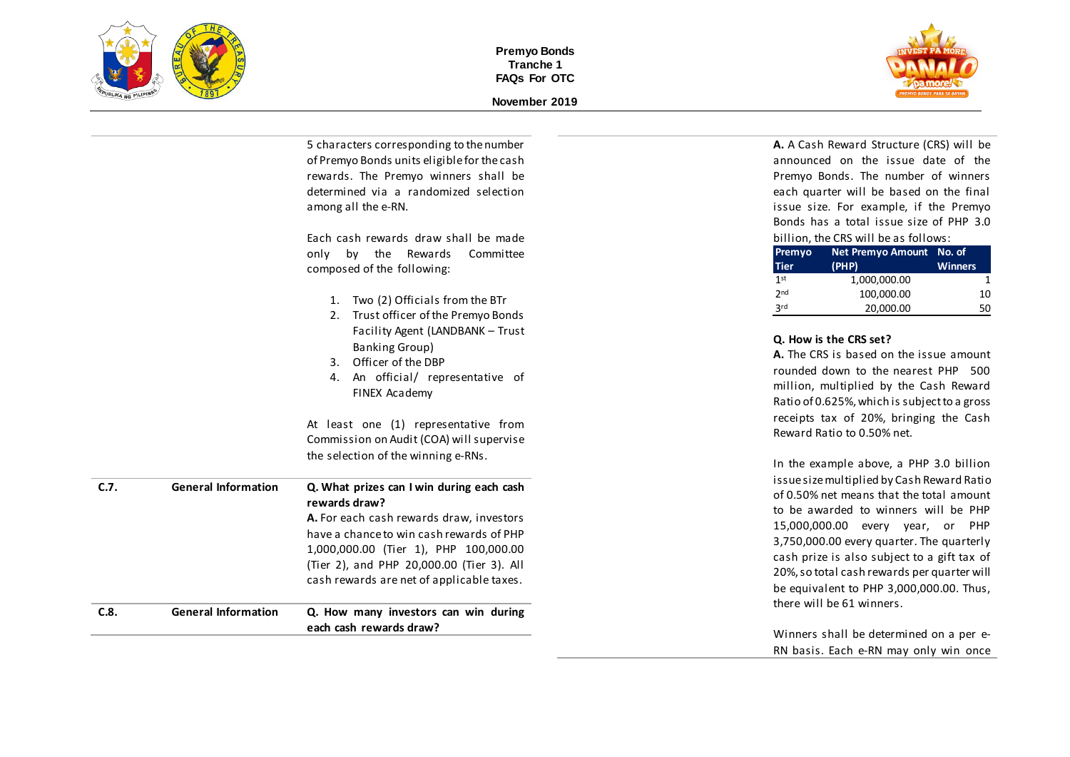

**November 2019**



|      |                            | 5 characters corresponding to the number<br>of Premyo Bonds units eligible for the cash | A. A Cash Reward Structure (CRS) will be<br>announced on the issue date of the           |
|------|----------------------------|-----------------------------------------------------------------------------------------|------------------------------------------------------------------------------------------|
|      |                            | rewards. The Premyo winners shall be                                                    | Premyo Bonds. The number of winners                                                      |
|      |                            | determined via a randomized selection                                                   | each quarter will be based on the final                                                  |
|      |                            | among all the e-RN.                                                                     | issue size. For example, if the Premyo                                                   |
|      |                            |                                                                                         | Bonds has a total issue size of PHP 3.0                                                  |
|      |                            | Each cash rewards draw shall be made                                                    | billion, the CRS will be as follows:                                                     |
|      |                            | only<br>by the Rewards<br>Committee                                                     | Net Premyo Amount No. of<br>Premyo                                                       |
|      |                            | composed of the following:                                                              | (PHP)<br><b>Tier</b><br><b>Winners</b>                                                   |
|      |                            |                                                                                         | 1 <sup>st</sup><br>1,000,000.00<br>1                                                     |
|      |                            | 1. Two (2) Officials from the BTr                                                       | 2 <sub>nd</sub><br>100,000.00<br>10                                                      |
|      |                            | 2. Trust officer of the Premyo Bonds                                                    | 3 <sup>rd</sup><br>20,000.00<br>50                                                       |
|      |                            | Facility Agent (LANDBANK - Trust                                                        |                                                                                          |
|      |                            | Banking Group)                                                                          | Q. How is the CRS set?                                                                   |
|      |                            | 3. Officer of the DBP                                                                   | A. The CRS is based on the issue amount                                                  |
|      |                            | 4. An official/ representative of                                                       | rounded down to the nearest PHP 500                                                      |
|      |                            | FINEX Academy                                                                           | million, multiplied by the Cash Reward                                                   |
|      |                            |                                                                                         | Ratio of 0.625%, which is subject to a gross                                             |
|      |                            | At least one (1) representative from                                                    | receipts tax of 20%, bringing the Cash                                                   |
|      |                            | Commission on Audit (COA) will supervise                                                | Reward Ratio to 0.50% net.                                                               |
|      |                            | the selection of the winning e-RNs.                                                     |                                                                                          |
|      |                            |                                                                                         | In the example above, a PHP 3.0 billion                                                  |
| C.7. | <b>General Information</b> | Q. What prizes can I win during each cash                                               | issue size multiplied by Cash Reward Ratio<br>of 0.50% net means that the total amount   |
|      |                            | rewards draw?                                                                           | to be awarded to winners will be PHP                                                     |
|      |                            | A. For each cash rewards draw, investors                                                |                                                                                          |
|      |                            | have a chance to win cash rewards of PHP                                                | 15,000,000.00 every year, or PHP                                                         |
|      |                            | 1,000,000.00 (Tier 1), PHP 100,000.00                                                   | 3,750,000.00 every quarter. The quarterly<br>cash prize is also subject to a gift tax of |
|      |                            | (Tier 2), and PHP 20,000.00 (Tier 3). All                                               | 20%, so total cash rewards per quarter will                                              |
|      |                            | cash rewards are net of applicable taxes.                                               |                                                                                          |
|      |                            |                                                                                         | be equivalent to PHP 3,000,000.00. Thus,<br>there will be 61 winners.                    |
| C.8. | <b>General Information</b> | Q. How many investors can win during                                                    |                                                                                          |
|      |                            | each cash rewards draw?                                                                 | Winners shall be determined on a per e-                                                  |
|      |                            |                                                                                         | RN basis. Each e-RN may only win once                                                    |
|      |                            |                                                                                         |                                                                                          |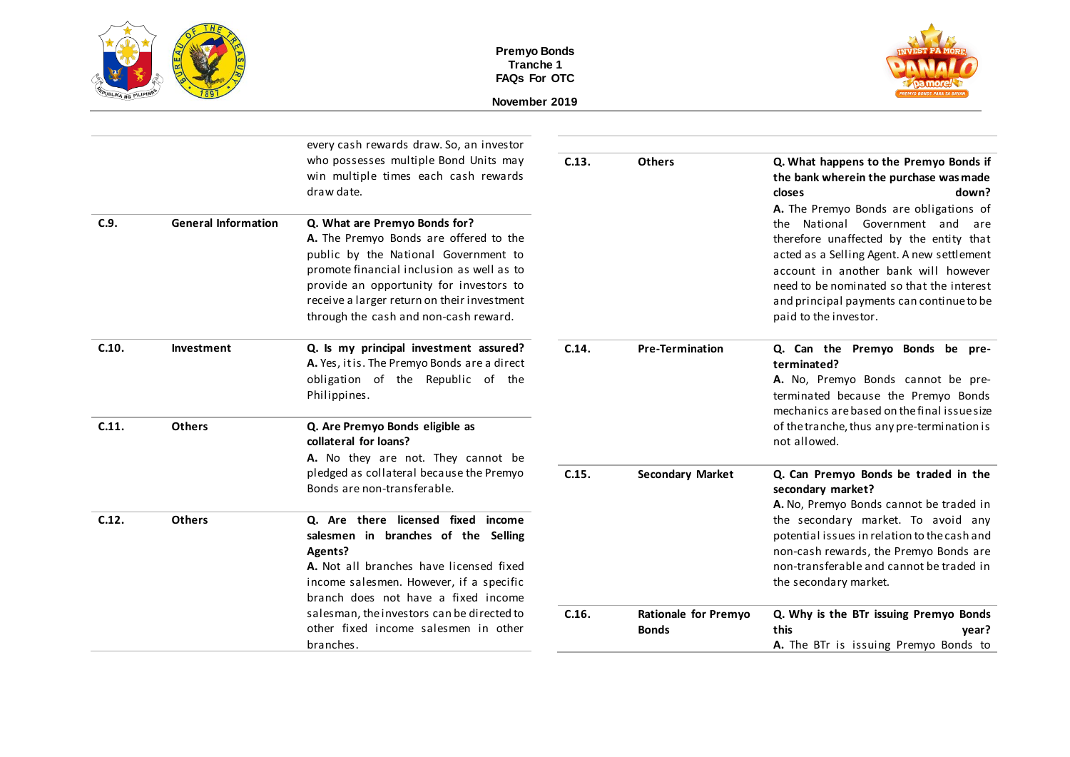



|       |                            | every cash rewards draw. So, an investor<br>who possesses multiple Bond Units may<br>win multiple times each cash rewards<br>draw date.                                                                                                                                                         | C.13. | <b>Others</b>                        | Q. What happens to the Premyo Bonds if<br>the bank wherein the purchase was made<br>down?<br>closes                                                                                                                                                                                                                           |
|-------|----------------------------|-------------------------------------------------------------------------------------------------------------------------------------------------------------------------------------------------------------------------------------------------------------------------------------------------|-------|--------------------------------------|-------------------------------------------------------------------------------------------------------------------------------------------------------------------------------------------------------------------------------------------------------------------------------------------------------------------------------|
| C.9.  | <b>General Information</b> | Q. What are Premyo Bonds for?<br>A. The Premyo Bonds are offered to the<br>public by the National Government to<br>promote financial inclusion as well as to<br>provide an opportunity for investors to<br>receive a larger return on their investment<br>through the cash and non-cash reward. |       |                                      | A. The Premyo Bonds are obligations of<br>the National Government and are<br>therefore unaffected by the entity that<br>acted as a Selling Agent. A new settlement<br>account in another bank will however<br>need to be nominated so that the interest<br>and principal payments can continue to be<br>paid to the investor. |
| C.10. | Investment                 | Q. Is my principal investment assured?<br>A. Yes, it is. The Premyo Bonds are a direct<br>obligation of the Republic of the<br>Philippines.                                                                                                                                                     | C.14. | <b>Pre-Termination</b>               | Q. Can the Premyo Bonds be pre-<br>terminated?<br>A. No, Premyo Bonds cannot be pre-<br>terminated because the Premyo Bonds<br>mechanics are based on the final issue size                                                                                                                                                    |
| C.11. | <b>Others</b>              | Q. Are Premyo Bonds eligible as<br>collateral for loans?                                                                                                                                                                                                                                        |       |                                      | of the tranche, thus any pre-termination is<br>not allowed.                                                                                                                                                                                                                                                                   |
|       |                            | A. No they are not. They cannot be<br>pledged as collateral because the Premyo<br>Bonds are non-transferable.                                                                                                                                                                                   | C.15. | <b>Secondary Market</b>              | Q. Can Premyo Bonds be traded in the<br>secondary market?<br>A. No, Premyo Bonds cannot be traded in                                                                                                                                                                                                                          |
| C.12. | <b>Others</b>              | Q. Are there licensed fixed income<br>salesmen in branches of the Selling<br>Agents?<br>A. Not all branches have licensed fixed<br>income salesmen. However, if a specific<br>branch does not have a fixed income                                                                               |       |                                      | the secondary market. To avoid any<br>potential issues in relation to the cash and<br>non-cash rewards, the Premyo Bonds are<br>non-transferable and cannot be traded in<br>the secondary market.                                                                                                                             |
|       |                            | salesman, the investors can be directed to<br>other fixed income salesmen in other<br>branches.                                                                                                                                                                                                 | C.16. | Rationale for Premyo<br><b>Bonds</b> | Q. Why is the BTr issuing Premyo Bonds<br>this<br>year?<br>A. The BTr is issuing Premyo Bonds to                                                                                                                                                                                                                              |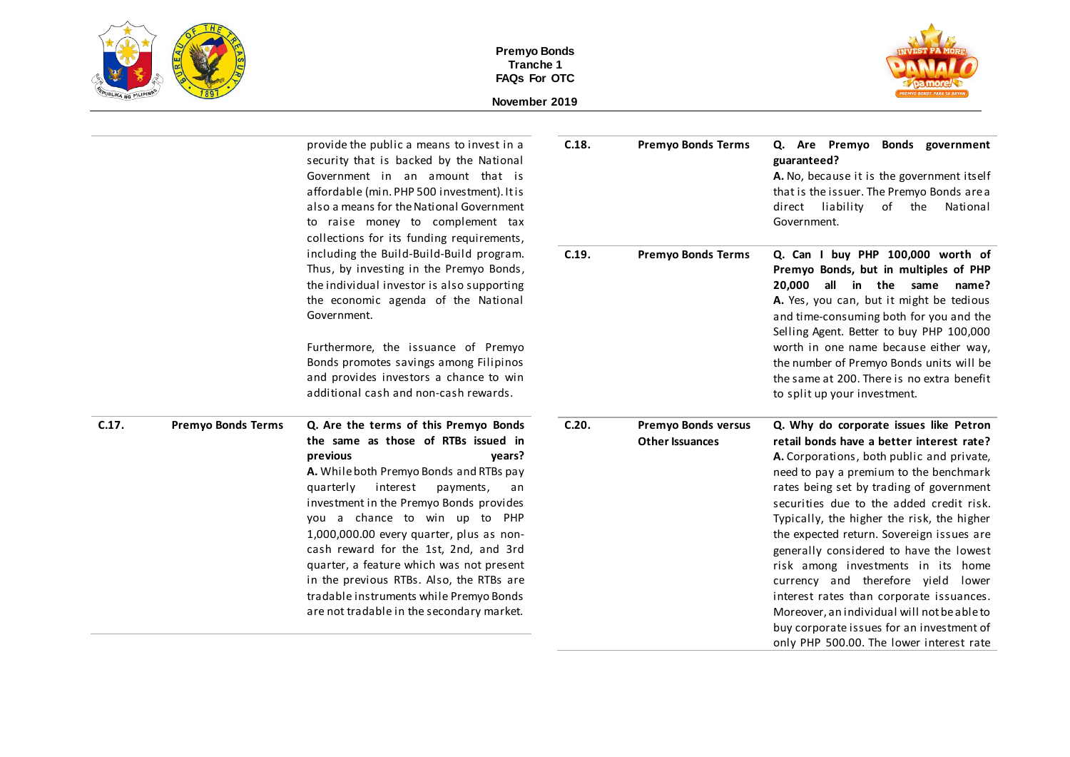



|                                                                                                                                                                                         |                           | provide the public a means to invest in a<br>security that is backed by the National<br>Government in an amount that is<br>affordable (min. PHP 500 investment). It is<br>also a means for the National Government<br>to raise money to complement tax<br>collections for its funding requirements,                                                                                                                                                                                                                                        | C.18.                                                                                                                                                                                                                                            | <b>Premyo Bonds Terms</b>                            | Q. Are Premyo Bonds government<br>guaranteed?<br>A. No, because it is the government itself<br>that is the issuer. The Premyo Bonds are a<br>direct liability<br>of the<br>National<br>Government.                                                                                                                                                                                                                                                                                                                                                                                                                                                                       |
|-----------------------------------------------------------------------------------------------------------------------------------------------------------------------------------------|---------------------------|--------------------------------------------------------------------------------------------------------------------------------------------------------------------------------------------------------------------------------------------------------------------------------------------------------------------------------------------------------------------------------------------------------------------------------------------------------------------------------------------------------------------------------------------|--------------------------------------------------------------------------------------------------------------------------------------------------------------------------------------------------------------------------------------------------|------------------------------------------------------|--------------------------------------------------------------------------------------------------------------------------------------------------------------------------------------------------------------------------------------------------------------------------------------------------------------------------------------------------------------------------------------------------------------------------------------------------------------------------------------------------------------------------------------------------------------------------------------------------------------------------------------------------------------------------|
| including the Build-Build-Build program.<br>Thus, by investing in the Premyo Bonds,<br>the individual investor is also supporting<br>the economic agenda of the National<br>Government. | C.19.                     | <b>Premyo Bonds Terms</b>                                                                                                                                                                                                                                                                                                                                                                                                                                                                                                                  | Q. Can I buy PHP 100,000 worth of<br>Premyo Bonds, but in multiples of PHP<br>20.000 all in the same<br>name?<br>A. Yes, you can, but it might be tedious<br>and time-consuming both for you and the<br>Selling Agent. Better to buy PHP 100,000 |                                                      |                                                                                                                                                                                                                                                                                                                                                                                                                                                                                                                                                                                                                                                                          |
|                                                                                                                                                                                         |                           | Furthermore, the issuance of Premyo<br>Bonds promotes savings among Filipinos<br>and provides investors a chance to win<br>additional cash and non-cash rewards.                                                                                                                                                                                                                                                                                                                                                                           |                                                                                                                                                                                                                                                  |                                                      | worth in one name because either way,<br>the number of Premyo Bonds units will be<br>the same at 200. There is no extra benefit<br>to split up your investment.                                                                                                                                                                                                                                                                                                                                                                                                                                                                                                          |
| C.17.                                                                                                                                                                                   | <b>Premyo Bonds Terms</b> | Q. Are the terms of this Premyo Bonds<br>the same as those of RTBs issued in<br>previous<br>years?<br>A. While both Premyo Bonds and RTBs pay<br>interest<br>quarterly<br>payments,<br>an<br>investment in the Premyo Bonds provides<br>you a chance to win up to PHP<br>1,000,000.00 every quarter, plus as non-<br>cash reward for the 1st, 2nd, and 3rd<br>quarter, a feature which was not present<br>in the previous RTBs. Also, the RTBs are<br>tradable instruments while Premyo Bonds<br>are not tradable in the secondary market. | C.20.                                                                                                                                                                                                                                            | <b>Premyo Bonds versus</b><br><b>Other Issuances</b> | Q. Why do corporate issues like Petron<br>retail bonds have a better interest rate?<br>A. Corporations, both public and private,<br>need to pay a premium to the benchmark<br>rates being set by trading of government<br>securities due to the added credit risk.<br>Typically, the higher the risk, the higher<br>the expected return. Sovereign issues are<br>generally considered to have the lowest<br>risk among investments in its home<br>currency and therefore yield lower<br>interest rates than corporate issuances.<br>Moreover, an individual will not be able to<br>buy corporate issues for an investment of<br>only PHP 500.00. The lower interest rate |